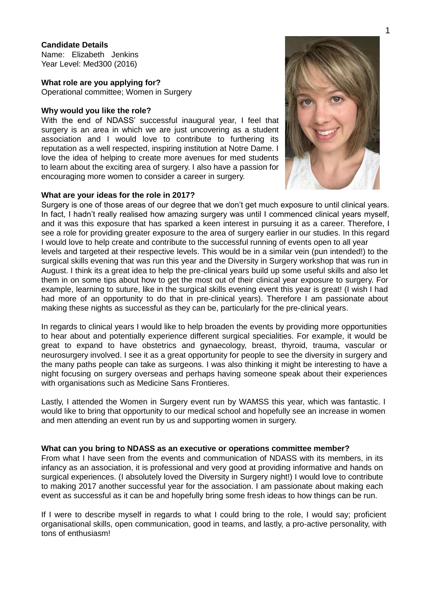# **Candidate Details**

Name: Elizabeth Jenkins Year Level: Med300 (2016)

### **What role are you applying for?**

Operational committee; Women in Surgery

### **Why would you like the role?**

With the end of NDASS' successful inaugural year, I feel that surgery is an area in which we are just uncovering as a student association and I would love to contribute to furthering its reputation as a well respected, inspiring institution at Notre Dame. I love the idea of helping to create more avenues for med students to learn about the exciting area of surgery. I also have a passion for encouraging more women to consider a career in surgery.



### **What are your ideas for the role in 2017?**

Surgery is one of those areas of our degree that we don't get much exposure to until clinical years. In fact, I hadn't really realised how amazing surgery was until I commenced clinical years myself, and it was this exposure that has sparked a keen interest in pursuing it as a career. Therefore, I see a role for providing greater exposure to the area of surgery earlier in our studies. In this regard I would love to help create and contribute to the successful running of events open to all year levels and targeted at their respective levels. This would be in a similar vein (pun intended!) to the surgical skills evening that was run this year and the Diversity in Surgery workshop that was run in August. I think its a great idea to help the pre-clinical years build up some useful skills and also let them in on some tips about how to get the most out of their clinical year exposure to surgery. For example, learning to suture, like in the surgical skills evening event this year is great! (I wish I had had more of an opportunity to do that in pre-clinical years). Therefore I am passionate about making these nights as successful as they can be, particularly for the pre-clinical years.

In regards to clinical years I would like to help broaden the events by providing more opportunities to hear about and potentially experience different surgical specialities. For example, it would be great to expand to have obstetrics and gynaecology, breast, thyroid, trauma, vascular or neurosurgery involved. I see it as a great opportunity for people to see the diversity in surgery and the many paths people can take as surgeons. I was also thinking it might be interesting to have a night focusing on surgery overseas and perhaps having someone speak about their experiences with organisations such as Medicine Sans Frontieres.

Lastly, I attended the Women in Surgery event run by WAMSS this year, which was fantastic. I would like to bring that opportunity to our medical school and hopefully see an increase in women and men attending an event run by us and supporting women in surgery.

# **What can you bring to NDASS as an executive or operations committee member?**

From what I have seen from the events and communication of NDASS with its members, in its infancy as an association, it is professional and very good at providing informative and hands on surgical experiences. (I absolutely loved the Diversity in Surgery night!) I would love to contribute to making 2017 another successful year for the association. I am passionate about making each event as successful as it can be and hopefully bring some fresh ideas to how things can be run.

If I were to describe myself in regards to what I could bring to the role, I would say; proficient organisational skills, open communication, good in teams, and lastly, a pro-active personality, with tons of enthusiasm!